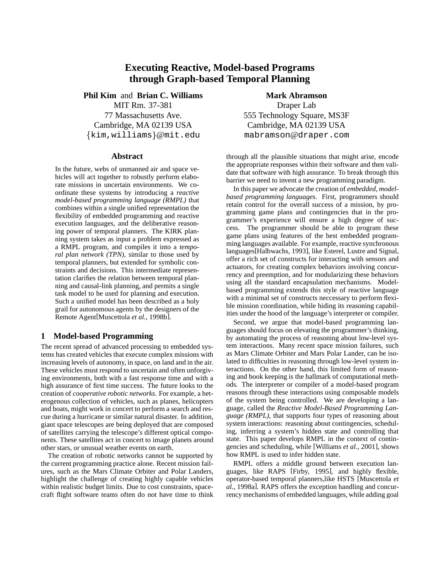# **Executing Reactive, Model-based Programs through Graph-based Temporal Planning**

**Phil Kim** and **Brian C. Williams** MIT Rm. 37-381 77 Massachusetts Ave. Cambridge, MA 02139 USA  $\{ \texttt{kim}, \texttt{williams} \}$ @mit.edu

### **Abstract**

In the future, webs of unmanned air and space vehicles will act together to robustly perform elaborate missions in uncertain environments. We coordinate these systems by introducing a *reactive model-based programming language (RMPL)* that combines within a single unified representation the flexibility of embedded programming and reactive execution languages, and the deliberative reasoning power of temporal planners. The KIRK planning system takes as input a problem expressed as a RMPL program, and compiles it into a *temporal plan network (TPN)*, similar to those used by temporal planners, but extended for symbolic constraints and decisions. This intermediate representation clarifies the relation between temporal planning and causal-link planning, and permits a single task model to be used for planning and execution. Such a unified model has been described as a holy grail for autonomous agents by the designers of the Remote Agent[Muscettola *et al.*, 1998b].

### **1 Model-based Programming**

The recent spread of advanced processing to embedded systems has created vehicles that execute complex missions with increasing levels of autonomy, in space, on land and in the air. These vehicles must respond to uncertain and often unforgiving environments, both with a fast response time and with a high assurance of first time success. The future looks to the creation of *cooperative robotic networks*. For example, a heterogenous collection of vehicles, such as planes, helicopters and boats, might work in concert to perform a search and rescue during a hurricane or similar natural disaster. In addition, giant space telescopes are being deployed that are composed of satellites carrying the telescope's different optical components. These satellites act in concert to image planets around other stars, or unusual weather events on earth.

The creation of robotic networks cannot be supported by the current programming practice alone. Recent mission failures, such as the Mars Climate Orbiter and Polar Landers, highlight the challenge of creating highly capable vehicles within realistic budget limits. Due to cost constraints, spacecraft flight software teams often do not have time to think

**Mark Abramson** Draper Lab 555 Technology Square, MS3F Cambridge, MA 02139 USA mabramson@draper.com

through all the plausible situations that might arise, encode the appropriate responses within their software and then validate that software with high assurance. To break through this barrier we need to invent a new programming paradigm.

In this paper we advocate the creation of *embedded, modelbased programming languages*. First, programmers should retain control for the overall success of a mission, by programming game plans and contingencies that in the programmer's experience will ensure a high degree of success. The programmer should be able to program these game plans using features of the best embedded programming languages available. For example, reactive synchronous languages[Halbwachs, 1993], like Esterel, Lustre and Signal, offer a rich set of constructs for interacting with sensors and actuators, for creating complex behaviors involving concurrency and preemption, and for modularizing these behaviors using all the standard encapsulation mechanisms. Modelbased programming extends this style of reactive language with a minimal set of constructs neccessary to perform flexible mission coordination, while hiding its reasoning capabilities under the hood of the language's interpreter or compiler.

Second, we argue that model-based programming languages should focus on elevating the programmer's thinking, by automating the process of reasoning about low-level system interactions. Many recent space mission failures, such as Mars Climate Orbiter and Mars Polar Lander, can be isolated to difficulties in reasoning through low-level system interactions. On the other hand, this limited form of reasoning and book keeping is the hallmark of computational methods. The interpreter or compiler of a model-based program reasons through these interactions using composable models of the system being controlled. We are developing a language, called the *Reactive Model-Based Programming Language (RMPL)*, that supports four types of reasoning about system interactions: reasoning about contingencies, scheduling, inferring a system's hidden state and controlling that state. This paper develops RMPL in the context of contingencies and scheduling, while [Williams *et al.*, 2001], shows how RMPL is used to infer hidden state.

RMPL offers a middle ground between execution languages, like RAPS [Firby, 1995], and highly flexible, operator-based temporal planners,like HSTS [Muscettola *et al.*, 1998a]. RAPS offers the exception handling and concurrency mechanisms of embedded languages, while adding goal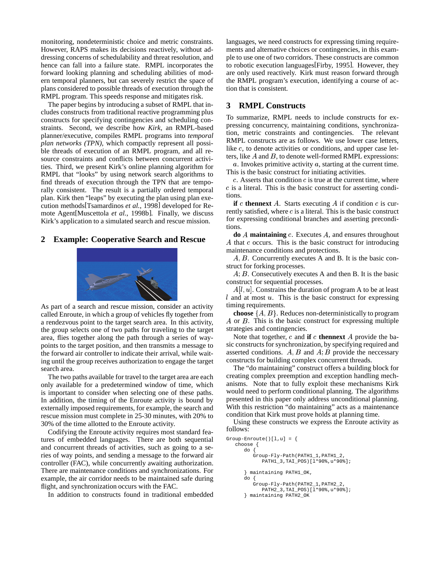monitoring, nondeterministic choice and metric constraints. However, RAPS makes its decisions reactively, without addressing concerns of schedulability and threat resolution, and hence can fall into a failure state. RMPL incorporates the forward looking planning and scheduling abilities of modern temporal planners, but can severely restrict the space of plans considered to possible threads of execution through the RMPL program. This speeds response and mitigates risk.

The paper begins by introducing a subset of RMPL that includes constructs from traditional reactive programming plus constructs for specifying contingencies and scheduling constraints. Second, we describe how *Kirk*, an RMPL-based planner/executive, compiles RMPL programs into *temporal plan networks (TPN)*, which compactly represent all possible threads of execution of an RMPL program, and all resource constraints and conflicts between concurrent activities. Third, we present Kirk's online planning algorithm for RMPL that "looks" by using network search algorithms to find threads of execution through the TPN that are temporally consistent. The result is a partially ordered temporal plan. Kirk then "leaps" by executing the plan using plan execution methods[Tsamardinos *et al.*, 1998] developed for Remote Agent[Muscettola *et al.*, 1998b]. Finally, we discuss Kirk's application to a simulated search and rescue mission.

# **2 Example: Cooperative Search and Rescue**



As part of a search and rescue mission, consider an activity called Enroute, in which a group of vehicles fly together from a rendezvous point to the target search area. In this activity, the group selects one of two paths for traveling to the target area, flies together along the path through a series of waypoints to the target position, and then transmits a message to the forward air controller to indicate their arrival, while waiting until the group receives authorization to engage the target search area.

The two paths available for travel to the target area are each only available for a predetermined window of time, which is important to consider when selecting one of these paths. In addition, the timing of the Enroute activity is bound by externally imposed requirements, for example, the search and rescue mission must complete in 25-30 minutes, with 20% to 30% of the time allotted to the Enroute activity.

Codifying the Enroute activity requires most standard features of embedded languages. There are both sequential and concurrent threads of activities, such as going to a series of way points, and sending a message to the forward air controller (FAC), while concurrently awaiting authorization. There are maintenance conditions and synchronizations. For example, the air corridor needs to be maintained safe during flight, and synchronization occurs with the FAC.

In addition to constructs found in traditional embedded

languages, we need constructs for expressing timing requirements and alternative choices or contingencies, in this example to use one of two corridors. These constructs are common to robotic execution languages[Firby, 1995]. However, they are only used reactively. Kirk must reason forward through the RMPL program's execution, identifying a course of action that is consistent.

# **3 RMPL Constructs**

To summarize, RMPL needs to include constructs for expressing concurrency, maintaining conditions, synchronization, metric constraints and contingencies. The relevant RMPL constructs are as follows. We use lower case letters, like  $c$ , to denote activities or conditions, and upper case letters, like  $A$  and  $B$ , to denote well-formed RMPL expressions:

 $a$ . Invokes primitive activity  $a$ , starting at the current time. This is the basic construct for initiating activities.

 $c$ . Asserts that condition  $c$  is true at the current time, where  $c$  is a literal. This is the basic construct for asserting conditions.

**if**  $c$  **thennext**  $A$ . Starts executing  $A$  if condition  $c$  is currently satisfied, where  $c$  is a literal. This is the basic construct for expressing conditional branches and asserting preconditions.

**do** A maintaining c. Executes A, and ensures throughout  $A$  that  $c$  occurs. This is the basic construct for introducing maintenance conditions and protections.

 $A, B$ . Concurrently executes A and B. It is the basic construct for forking processes.

 $A; B.$  Consecutively executes A and then B. It is the basic construct for sequential processes.

 $A[l, u]$ . Constrains the duration of program A to be at least  $l$  and at most  $u$ . This is the basic construct for expressing timing requirements.

**choose**  $\{A, B\}$ . Reduces non-deterministically to program  $A$  or  $B$ . This is the basic construct for expressing multiple strategies and contingencies.

Note that together,  $c$  and **if**  $c$  **thennext**  $A$  provide the basic constructs for synchronization, by specifying required and asserted conditions.  $A, B$  and  $A, B$  provide the neccessary constructs for building complex concurrent threads.

The "do maintaining" construct offers a building block for creating complex preemption and exception handling mechanisms. Note that to fully exploit these mechanisms Kirk would need to perform conditional planning. The algorithms presented in this paper only address unconditional planning. With this restriction "do maintaining" acts as a maintenance condition that Kirk must prove holds at planning time.

Using these constructs we express the Enroute activity as follows:

```
Group-Enroute()[1,u] = \{choose {
      do {
        Group-Fly-Path(PATH1_1,PATH1_2,
            PATH1_3,TAI_POS)[l*90%,u*90%];
      } maintaining PATH1_OK,
      do {
         Group-Fly-Path(PATH2_1,PATH2_2,
            PATH2_3,TAI_POS)[l*90%,u*90%];
      } maintaining PATH2_OK
```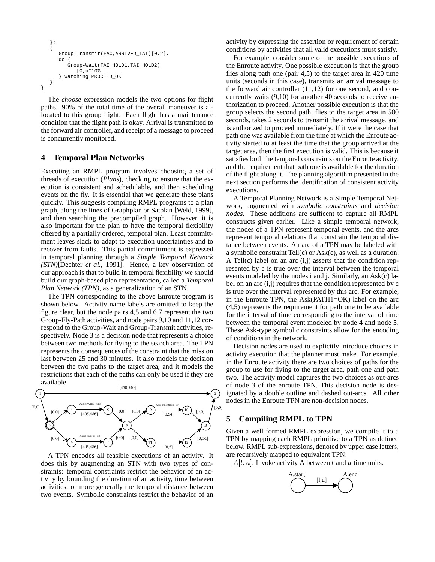```
};
   {
      Group-Transmit(FAC,ARRIVED_TAI)[0,2],
      do {
         Group-Wait(TAI_HOLD1,TAI_HOLD2)
             [0,u*10%]
      } watching PROCEED_OK
   }
}
```
The *choose* expression models the two options for flight paths. 90% of the total time of the overall maneuver is allocated to this group flight. Each flight has a maintenance condition that the flight path is okay. Arrival is transmitted to the forward air controller, and receipt of a message to proceed is concurrently monitored.

### **4 Temporal Plan Networks**

Executing an RMPL program involves choosing a set of threads of execution (*Plans*), checking to ensure that the execution is consistent and schedulable, and then scheduling events on the fly. It is essential that we generate these plans quickly. This suggests compiling RMPL programs to a plan graph, along the lines of Graphplan or Satplan [Weld, 1999], and then searching the precompiled graph. However, it is also important for the plan to have the temporal flexibility offered by a partially ordered, temporal plan. Least committment leaves slack to adapt to execution uncertainties and to recover from faults. This partial committment is expressed in temporal planning through a *Simple Temporal Network (STN)*[Dechter *et al.*, 1991]. Hence, a key observation of our approach is that to build in temporal flexibility we should build our graph-based plan representation, called a *Temporal Plan Network (TPN)*, as a generalization of an STN.

The TPN corresponding to the above Enroute program is shown below. Activity name labels are omitted to keep the figure clear, but the node pairs 4,5 and 6,7 represent the two Group-Fly-Path activities, and node pairs 9,10 and 11,12 correspond to the Group-Wait and Group-Transmit activities, respectively. Node 3 is a decision node that represents a choice between two methods for flying to the search area. The TPN represents the consequences of the constraint that the mission last between 25 and 30 minutes. It also models the decision between the two paths to the target area, and it models the restrictions that each of the paths can only be used if they are available.



A TPN encodes all feasible executions of an activity. It does this by augmenting an STN with two types of constraints: temporal constraints restrict the behavior of an activity by bounding the duration of an activity, time between activities, or more generally the temporal distance between two events. Symbolic constraints restrict the behavior of an

activity by expressing the assertion or requirement of certain conditions by activities that all valid executions must satisfy.

For example, consider some of the possible executions of the Enroute activity. One possible execution is that the group flies along path one (pair 4,5) to the target area in 420 time units (seconds in this case), transmits an arrival message to the forward air controller (11,12) for one second, and concurrently waits (9,10) for another 40 seconds to receive authorization to proceed. Another possible execution is that the group selects the second path, flies to the target area in 500 seconds, takes 2 seconds to transmit the arrival message, and is authorized to proceed immediately. If it were the case that path one was available from the time at which the Enroute activity started to at least the time that the group arrived at the target area, then the first execution is valid. This is because it satisfies both the temporal constraints on the Enroute activity, and the requirement that path one is available for the duration of the flight along it. The planning algorithm presented in the next section performs the identification of consistent activity executions.

A Temporal Planning Network is a Simple Temporal Network, augmented with *symbolic constraints* and *decision nodes*. These additions are sufficent to capture all RMPL constructs given earlier. Like a simple temporal network, the nodes of a TPN represent temporal events, and the arcs represent temporal relations that constrain the temporal distance between events. An arc of a TPN may be labeled with a symbolic constraint Tell(c) or Ask(c), as well as a duration. A Tell(c) label on an arc (i,j) asserts that the condition represented by c is true over the interval between the temporal events modeled by the nodes i and j. Similarly, an Ask(c) label on an arc (i,j) requires that the condition represented by c is true over the interval represented by this arc. For example, in the Enroute TPN, the Ask(PATH1=OK) label on the arc (4,5) represents the requirement for path one to be available for the interval of time corresponding to the interval of time between the temporal event modeled by node 4 and node 5. These Ask-type symbolic constraints allow for the encoding of conditions in the network.

Decision nodes are used to explicitly introduce choices in activity execution that the planner must make. For example, in the Enroute activity there are two choices of paths for the group to use for flying to the target area, path one and path two. The activity model captures the two choices as out-arcs of node 3 of the enroute TPN. This decision node is designated by a double outline and dashed out-arcs. All other nodes in the Enroute TPN are non-decision nodes.

# **5 Compiling RMPL to TPN**

Given a well formed RMPL expression, we compile it to a TPN by mapping each RMPL primitive to a TPN as defined below. RMPL sub-expressions, denoted by upper case letters, are recursively mapped to equivalent TPN:

 $A[l, u]$ . Invoke activity A between l and u time units.

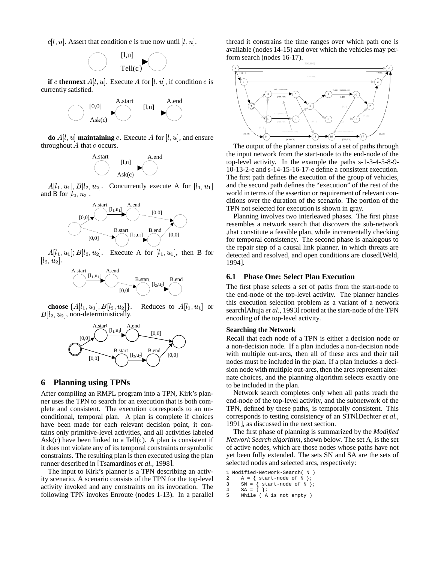$c[l, u]$ . Assert that condition c is true now until  $[l, u]$ .



**if** c **thennext**  $A[l, u]$ . Execute A for  $[l, u]$ , if condition c is currently satisfied.



**do**  $A[l, u]$  maintaining c. Execute A for  $[l, u]$ , and ensure throughout  $A$  that  $c$  occurs.



 $A[l_1, u_1], B[l_2, u_2]$ . Concurrently execute A for  $[l_1, u_1]$ and B for  $[l_2, u_2]$ .



-   $l_2, u_2$ . Execute A for  $[l_1, u_1]$ , then B for  $[l_2, u_2]$ .



 ${\bf choose}~ \{A[l_1,u_1], B[l_2,u_2]\}$  $\{a_2, u_2\}$ . Reduces to  $A[l_1, u_1]$  or  $\qquad$  $B[l_2, u_2]$ , non-deterministically.



# **6 Planning using TPNs**

After compiling an RMPL program into a TPN, Kirk's planner uses the TPN to search for an execution that is both complete and consistent. The execution corresponds to an unconditional, temporal plan. A plan is complete if choices have been made for each relevant decision point, it contains only primitive-level activities, and all activities labeled  $Ask(c)$  have been linked to a Tell $(c)$ . A plan is consistent if it does not violate any of its temporal constraints or symbolic constraints. The resulting plan is then executed using the plan runner described in [Tsamardinos *et al.*, 1998].

The input to Kirk's planner is a TPN describing an activity scenario. A scenario consists of the TPN for the top-level activity invoked and any constraints on its invocation. The following TPN invokes Enroute (nodes 1-13). In a parallel thread it constrains the time ranges over which path one is available (nodes 14-15) and over which the vehicles may perform search (nodes 16-17).



The output of the planner consists of a set of paths through the input network from the start-node to the end-node of the top-level activity. In the example the paths s-1-3-4-5-8-9- 10-13-2-e and s-14-15-16-17-e define a consistent execution. The first path defines the execution of the group of vehicles, and the second path defines the "execution" of the rest of the world in terms of the assertion or requirement of relevant conditions over the duration of the scenario. The portion of the TPN not selected for execution is shown in gray.

Planning involves two interleaved phases. The first phase resembles a network search that discovers the sub-network ,that constitute a feasible plan, while incrementally checking for temporal consistency. The second phase is analogous to the repair step of a causal link planner, in which threats are detected and resolved, and open conditions are closed[Weld, 1994].

#### **6.1 Phase One: Select Plan Execution**

The first phase selects a set of paths from the start-node to the end-node of the top-level activity. The planner handles this execution selection problem as a variant of a network search[Ahuja *et al.*, 1993] rooted at the start-node of the TPN encoding of the top-level activity.

### **Searching the Network**

Recall that each node of a TPN is either a decision node or a non-decision node. If a plan includes a non-decision node with multiple out-arcs, then all of these arcs and their tail nodes must be included in the plan. If a plan includes a decision node with multiple out-arcs, then the arcs represent alternate choices, and the planning algorithm selects exactly one to be included in the plan.

Network search completes only when all paths reach the end-node of the top-level activity, and the subnetwork of the TPN, defined by these paths, is temporally consistent. This corresponds to testing consistency of an STN[Dechter *et al.*, 1991], as discussed in the next section.

The first phase of planning is summarized by the *Modified Network Search algorithm,* shown below. The set A, is the set of active nodes, which are those nodes whose paths have not yet been fully extended. The sets SN and SA are the sets of selected nodes and selected arcs, respectively:

```
1 Modified-Network-Search( N )<br>2 A = { start-node of N };
```

```
A = \{ start-node of N \};
```

```
3 SN = { start-node of N };<br>4 SA = { };
```

```
5 While ( A is not empty )
```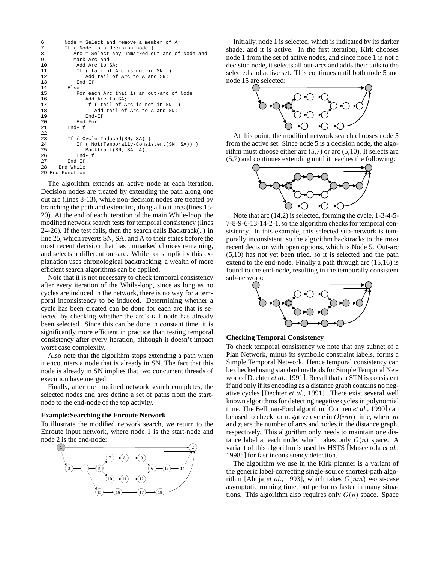```
6 Node = Select and remove a member of A;
7 If ( Node is a decision-node )<br>8 Arc = Select any unmarked c
8 Arc = Select any unmarked out-arc of Node and<br>9 Mark Arc and
9 Mark Arc and<br>10 Madd Arc to
              Add Arc to SA;
11 If (tail of Arc is not in SN )<br>12 Add tail of Arc to A and SN;
12 Add tail of Arc to A and SN;<br>13 End-If
              End-If
14 Else<br>15 F
              For each Arc that is an out-arc of Node
16 Mdd Arc to SA;<br>17 1f (tail of A
                  17 If ( tail of Arc is not in SN )
18 Mdd tail of Arc to A and SN;<br>19 End-If
19 End-If
20 End-For<br>21 End-Tf
          End-Tf22
23 If ( Cycle-Induced(SN, SA) )<br>24 If ( Not(Temporally-Consi
24 If ( Not(Temporally-Consistent(SN, SA)) )<br>25 Backtrack(SN, SA, A);
                 Backtrack(SN, SA, A);
26 End-If<br>27 End-If
          End-If
28 End-While
29 End-Function
```
The algorithm extends an active node at each iteration. Decision nodes are treated by extending the path along one out arc (lines 8-13), while non-decision nodes are treated by branching the path and extending along all out arcs (lines 15- 20). At the end of each iteration of the main While-loop, the modified network search tests for temporal consistency (lines 24-26). If the test fails, then the search calls Backtrack(..) in line 25, which reverts SN, SA, and A to their states before the most recent decision that has unmarked choices remaining, and selects a different out-arc. While for simplicity this explanation uses chronological backtracking, a wealth of more efficient search algorithms can be applied.

Note that it is not necessary to check temporal consistency after every iteration of the While-loop, since as long as no cycles are induced in the network, there is no way for a temporal inconsistency to be induced. Determining whether a cycle has been created can be done for each arc that is selected by checking whether the arc's tail node has already been selected. Since this can be done in constant time, it is significantly more efficient in practice than testing temporal consistency after every iteration, although it doesn't impact worst case complexity.

Also note that the algorithm stops extending a path when it encounters a node that is already in SN. The fact that this node is already in SN implies that two concurrent threads of execution have merged.

Finally, after the modified network search completes, the selected nodes and arcs define a set of paths from the startnode to the end-node of the top activity.

#### **Example:Searching the Enroute Network**

To illustrate the modified network search, we return to the Enroute input network, where node 1 is the start-node and node 2 is the end-node:



Initially, node 1 is selected, which is indicated by its darker shade, and it is active. In the first iteration, Kirk chooses node 1 from the set of active nodes, and since node 1 is not a decision node, it selects all out-arcs and adds their tails to the selected and active set. This continues until both node 5 and node 15 are selected:



At this point, the modified network search chooses node 5 from the active set. Since node 5 is a decision node, the algorithm must choose either arc  $(5,7)$  or arc  $(5,10)$ . It selects arc (5,7) and continues extending until it reaches the following:



Note that arc (14,2) is selected, forming the cycle, 1-3-4-5- 7-8-9-6-13-14-2-1,so the algorithm checks for temporal consistency. In this example, this selected sub-network is temporally inconsistent, so the algorithm backtracks to the most recent decision with open options, which is Node 5. Out-arc (5,10) has not yet been tried, so it is selected and the path extend to the end-node. Finally a path through arc (15,16) is found to the end-node, resulting in the temporally consistent sub-network:



#### **Checking Temporal Consistency**

To check temporal consistency we note that any subnet of a Plan Network, minus its symbolic constraint labels, forms a Simple Temporal Network. Hence temporal consistency can be checked using standard methods for Simple Temporal Networks [Dechter *et al.*, 1991]. Recall that an STN is consistent if and only if its encoding as a distance graph contains no negative cycles [Dechter *et al.*, 1991]. There exist several well known algorithms for detecting negative cycles in polynomial time. The Bellman-Ford algorithm [Cormen *et al.*, 1990] can be used to check for negative cycle in  $O(nm)$  time, where m and  $n$  are the number of arcs and nodes in the distance graph, respectively. This algorithm only needs to maintain one distance label at each node, which takes only  $O(n)$  space. A variant of this algorithm is used by HSTS [Muscettola *et al.*, 1998a] for fast inconsistency detection.

The algorithm we use in the Kirk planner is a variant of the generic label-correcting single-source shortest-path algorithm [Ahuja *et al.*, 1993], which takes  $O(nm)$  worst-case asymptotic running time, but performs faster in many situations. This algorithm also requires only  $O(n)$  space. Space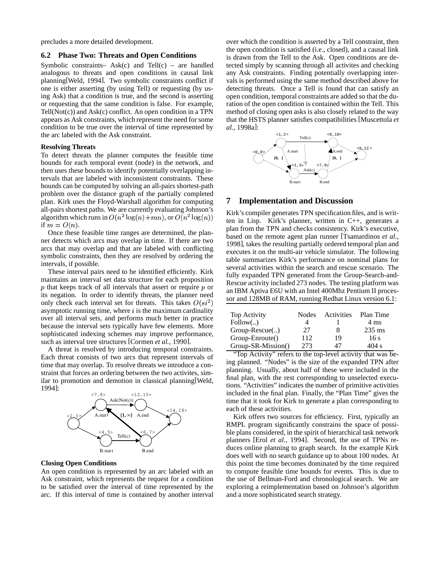precludes a more detailed development.

#### **6.2 Phase Two: Threats and Open Conditions**

Symbolic constraints– Ask(c) and Tell(c) – are handled analogous to threats and open conditions in causal link planning[Weld, 1994]. Two symbolic constraints conflict if one is either asserting (by using Tell) or requesting (by using Ask) that a condition is true, and the second is asserting or requesting that the same condition is false. For example,  $Tell(Not(c))$  and  $Ask(c)$  conflict. An open condition in a TPN appears as Ask constraints, which represent the need forsome condition to be true over the interval of time represented by the arc labeled with the Ask constraint.

#### **Resolving Threats**

To detect threats the planner computes the feasible time bounds for each temporal event (node) in the network, and then uses these bounds to identify potentially overlapping intervals that are labeled with inconsistent constraints. These bounds can be computed by solving an all-pairs shortest-path problem over the distance graph of the partially completed plan. Kirk uses the Floyd-Warshall algorithm for computing all-pairs shortest paths. We are currently evaluating Johnson's algorithm which runs in  $O(n^2 \log(n) + mn)$ , or  $O(n^2 \log(n))$ if  $m = O(n)$ .

Once these feasible time ranges are determined, the planner detects which arcs may overlap in time. If there are two arcs that may overlap and that are labeled with conflicting symbolic constraints, then they are resolved by ordering the intervals, if possible.

These interval pairs need to be identified efficiently. Kirk maintains an interval set data structure for each proposition p that keeps track of all intervals that assert or require p or  $\frac{1}{2}$ its negation. In order to identify threats, the planner need only check each interval set for threats. This takes  $O(st^2)$   $\equiv$ asymptotic running time, where  $i$  is the maximum cardinality over all interval sets, and performs much better in practice because the interval sets typically have few elements. More sophisticated indexing schemes may improve performance, such as interval tree structures [Cormen *et al.*, 1990].

A threat is resolved by introducing temporal constraints. Each threat consists of two arcs that represent intervals of time that may overlap. To resolve threats we introduce a constraint that forces an ordering between the two activites, similar to promotion and demotion in classical planning[Weld, 1994]:



#### **Closing Open Conditions**

An open condition is represented by an arc labeled with an Ask constraint, which represents the request for a condition to be satisfied over the interval of time represented by the arc. If this interval of time is contained by another interval over which the condition is asserted by a Tell constraint, then the open condition is satisfied (i.e., closed), and a causal link is drawn from the Tell to the Ask. Open conditions are detected simply by scanning through all activites and checking any Ask constraints. Finding potentially overlapping intervals is performed using the same method described above for detecting threats. Once a Tell is found that can satisfy an open condition, temporal constraints are added so that the duration of the open condition is contained within the Tell. This method of closing open asks is also closely related to the way that the HSTS planner satisfies compatibilities [Muscettola *et al.*, 1998a]:



### **7 Implementation and Discussion**

Kirk's compiler generates TPN specification files, and is written in Lisp. Kirk's planner, written in C++, generates a plan from the TPN and checks consistency. Kirk's executive, based on the remote agent plan runner [Tsamardinos *et al.*, 1998], takes the resulting partially ordered temporal plan and executes it on the multi-air vehicle simulator. The following table summarizes Kirk's performance on nominal plans for several activities within the search and rescue scenario. The fully expanded TPN generated from the Group-Search-and-Rescue activity included 273 nodes. The testing platform was an IBM Aptiva E6U with an Intel 400Mhz Pentium II processor and 128MB of RAM, running Redhat Linux version 6.1:

| Top Activity       | <b>Nodes</b> | Activities | Plan Time |
|--------------------|--------------|------------|-----------|
| Follow()           |              |            | 4 ms      |
| Group-Rescue()     | 27           | 8          | $235$ ms  |
| Group-Enroute()    | 112          | 19         | 16s       |
| Group-SR-Mission() | 273          | 47         | 404 s     |

"Top Activity" refers to the top-level activity that was being planned. "Nodes" is the size of the expanded TPN after planning. Usually, about half of these were included in the final plan, with the rest corresponding to unselected executions. "Activities" indicates the number of primitive activities included in the final plan. Finally, the "Plan Time" gives the time that it took for Kirk to generate a plan corresponding to each of these activities.

Kirk offers two sources for efficiency. First, typically an RMPL program significantly constrains the space of possible plans considered, in the spirit of hierarchical task network planners [Erol *et al.*, 1994]. Second, the use of TPNs reduces online planning to graph search. In the example Kirk does well with no search guidance up to about 100 nodes. At this point the time becomes dominated by the time required to compute feasible time bounds for events. This is due to the use of Bellman-Ford and chronological search. We are exploring a reimplementation based on Johnson's algorithm and a more sophisticated search strategy.